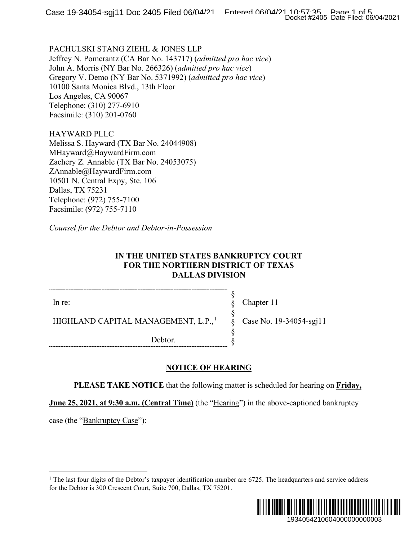PACHULSKI STANG ZIEHL & JONES LLP Jeffrey N. Pomerantz (CA Bar No. 143717) (*admitted pro hac vice*) John A. Morris (NY Bar No. 266326) (*admitted pro hac vice*) Gregory V. Demo (NY Bar No. 5371992) (*admitted pro hac vice*) 10100 Santa Monica Blvd., 13th Floor Los Angeles, CA 90067 Telephone: (310) 277-6910 Facsimile: (310) 201-0760

HAYWARD PLLC Melissa S. Hayward (TX Bar No. 24044908) MHayward@HaywardFirm.com Zachery Z. Annable (TX Bar No. 24053075) ZAnnable@HaywardFirm.com 10501 N. Central Expy, Ste. 106 Dallas, TX 75231 Telephone: (972) 755-7100 Facsimile: (972) 755-7110

*Counsel for the Debtor and Debtor-in-Possession*

### **IN THE UNITED STATES BANKRUPTCY COURT FOR THE NORTHERN DISTRICT OF TEXAS DALLAS DIVISION**

In re:

HIGHLAND CAPITAL MANAGEMENT, L.P.,<sup>[1](#page-0-0)</sup>

Debtor.

Chapter 11

§ § § § § §

Case No. 19-34054-sgj11

**NOTICE OF HEARING**

**PLEASE TAKE NOTICE** that the following matter is scheduled for hearing on **Friday,** 

**June 25, 2021, at 9:30 a.m. (Central Time)** (the "Hearing") in the above-captioned bankruptcy

<span id="page-0-0"></span>case (the "Bankruptcy Case"):

<sup>&</sup>lt;sup>1</sup> The last four digits of the Debtor's taxpayer identification number are  $6725$ . The headquarters and service address for the Debtor is 300 Crescent Court, Suite 700, Dallas, TX 75201.

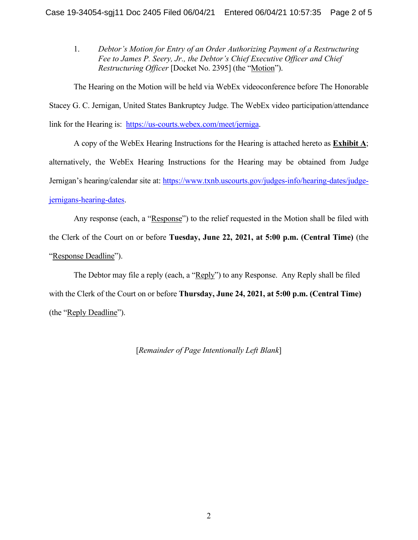1. *Debtor's Motion for Entry of an Order Authorizing Payment of a Restructuring Fee to James P. Seery, Jr., the Debtor's Chief Executive Officer and Chief Restructuring Officer* [Docket No. 2395] (the "Motion").

The Hearing on the Motion will be held via WebEx videoconference before The Honorable Stacey G. C. Jernigan, United States Bankruptcy Judge. The WebEx video participation/attendance link for the Hearing is: [https://us-courts.webex.com/meet/jerniga.](https://us-courts.webex.com/meet/jerniga)

A copy of the WebEx Hearing Instructions for the Hearing is attached hereto as **Exhibit A**; alternatively, the WebEx Hearing Instructions for the Hearing may be obtained from Judge Jernigan's hearing/calendar site at: [https://www.txnb.uscourts.gov/judges-info/hearing-dates/judge](https://www.txnb.uscourts.gov/judges-info/hearing-dates/judge-jernigans-hearing-dates)[jernigans-hearing-dates.](https://www.txnb.uscourts.gov/judges-info/hearing-dates/judge-jernigans-hearing-dates)

Any response (each, a "Response") to the relief requested in the Motion shall be filed with the Clerk of the Court on or before **Tuesday, June 22, 2021, at 5:00 p.m. (Central Time)** (the "Response Deadline").

The Debtor may file a reply (each, a "Reply") to any Response. Any Reply shall be filed with the Clerk of the Court on or before **Thursday, June 24, 2021, at 5:00 p.m. (Central Time)** (the "Reply Deadline").

[*Remainder of Page Intentionally Left Blank*]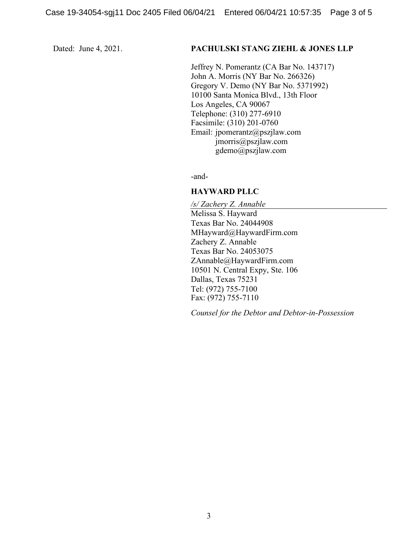#### Dated: June 4, 2021. **PACHULSKI STANG ZIEHL & JONES LLP**

Jeffrey N. Pomerantz (CA Bar No. 143717) John A. Morris (NY Bar No. 266326) Gregory V. Demo (NY Bar No. 5371992) 10100 Santa Monica Blvd., 13th Floor Los Angeles, CA 90067 Telephone: (310) 277-6910 Facsimile: (310) 201-0760 Email: jpomerantz@pszjlaw.com jmorris@pszjlaw.com gdemo@pszjlaw.com

-and-

#### **HAYWARD PLLC**

*/s/ Zachery Z. Annable* Melissa S. Hayward Texas Bar No. 24044908 MHayward@HaywardFirm.com Zachery Z. Annable Texas Bar No. 24053075 ZAnnable@HaywardFirm.com 10501 N. Central Expy, Ste. 106 Dallas, Texas 75231 Tel: (972) 755-7100 Fax: (972) 755-7110

*Counsel for the Debtor and Debtor-in-Possession*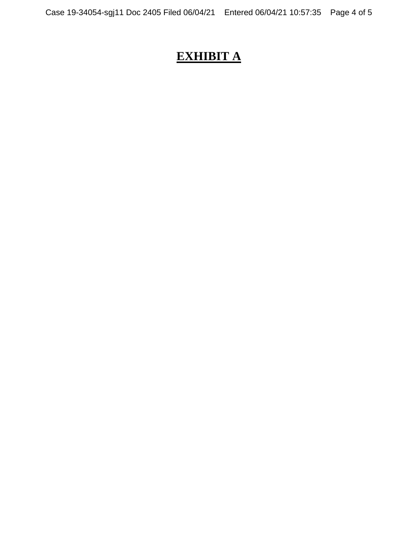# **EXHIBIT A**